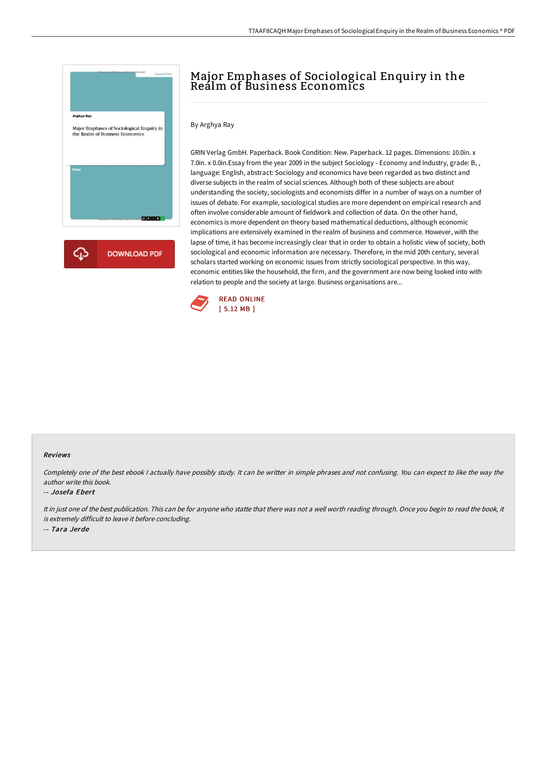

## Major Emphases of Sociological Enquiry in the Realm of Business Economics

By Arghya Ray

GRIN Verlag GmbH. Paperback. Book Condition: New. Paperback. 12 pages. Dimensions: 10.0in. x 7.0in. x 0.0in.Essay from the year 2009 in the subject Sociology - Economy and Industry, grade: B, , language: English, abstract: Sociology and economics have been regarded as two distinct and diverse subjects in the realm of social sciences. Although both of these subjects are about understanding the society, sociologists and economists differ in a number of ways on a number of issues of debate. For example, sociological studies are more dependent on empirical research and often involve considerable amount of fieldwork and collection of data. On the other hand, economics is more dependent on theory based mathematical deductions, although economic implications are extensively examined in the realm of business and commerce. However, with the lapse of time, it has become increasingly clear that in order to obtain a holistic view of society, both sociological and economic information are necessary. Therefore, in the mid 20th century, several scholars started working on economic issues from strictly sociological perspective. In this way, economic entities like the household, the firm, and the government are now being looked into with relation to people and the society at large. Business organisations are...



## Reviews

Completely one of the best ebook <sup>I</sup> actually have possibly study. It can be writter in simple phrases and not confusing. You can expect to like the way the author write this book.

## -- Josefa Ebert

It in just one of the best publication. This can be for anyone who statte that there was not <sup>a</sup> well worth reading through. Once you begin to read the book, it is extremely difficult to leave it before concluding.

-- Tara Jerde